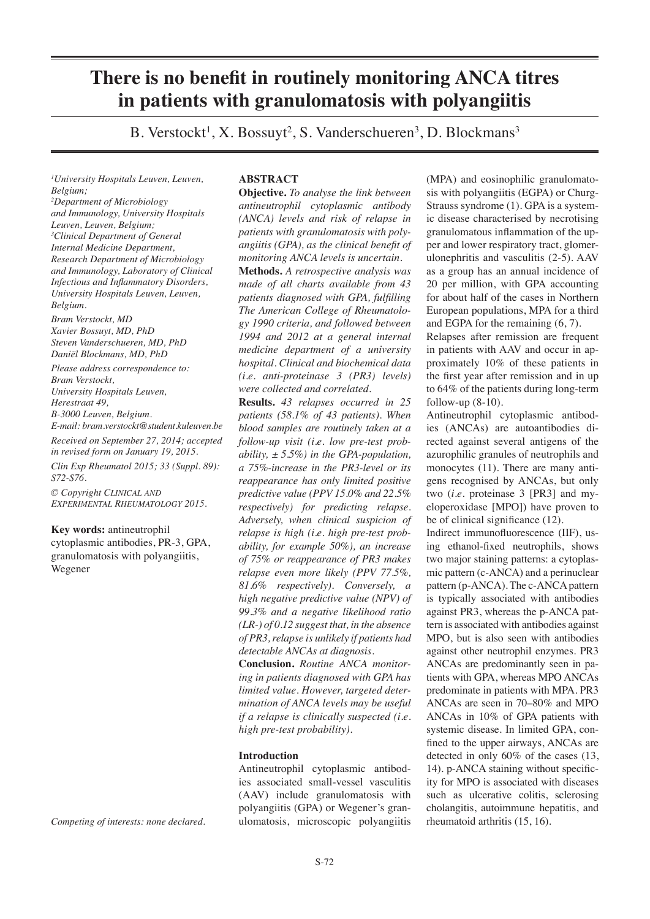# **There is no benefit in routinely monitoring ANCA titres in patients with granulomatosis with polyangiitis**

B. Verstockt<sup>1</sup>, X. Bossuyt<sup>2</sup>, S. Vanderschueren<sup>3</sup>, D. Blockmans<sup>3</sup>

*1 University Hospitals Leuven, Leuven, Belgium;*

*2 Department of Microbiology and Immunology, University Hospitals Leuven, Leuven, Belgium; 3 Clinical Department of General Internal Medicine Department, Research Department of Microbiology and Immunology, Laboratory of Clinical Infectious and Inflammatory Disorders, University Hospitals Leuven, Leuven, Belgium.*

*Bram Verstockt, MD Xavier Bossuyt, MD, PhD Steven Vanderschueren, MD, PhD Daniël Blockmans, MD, PhD*

*Please address correspondence to: Bram Verstockt, University Hospitals Leuven, Herestraat 49, B-3000 Leuven, Belgium.*

*E-mail: bram.verstockt@student.kuleuven.be Received on September 27, 2014; accepted* 

*in revised form on January 19, 2015. Clin Exp Rheumatol 2015; 33 (Suppl. 89):* 

*S72-S76. © Copyright Clinical and Experimental Rheumatology 2015.*

**Key words:** antineutrophil

cytoplasmic antibodies, PR-3, GPA, granulomatosis with polyangiitis, Wegener

*Competing of interests: none declared.*

# **ABSTRACT**

**Objective.** *To analyse the link between antineutrophil cytoplasmic antibody (ANCA) levels and risk of relapse in patients with granulomatosis with polyangiitis (GPA), as the clinical benefit of monitoring ANCA levels is uncertain.*

**Methods.** *A retrospective analysis was made of all charts available from 43 patients diagnosed with GPA, fulfilling The American College of Rheumatology 1990 criteria, and followed between 1994 and 2012 at a general internal medicine department of a university hospital. Clinical and biochemical data (i.e. anti-proteinase 3 (PR3) levels) were collected and correlated.*

**Results.** *43 relapses occurred in 25 patients (58.1% of 43 patients). When blood samples are routinely taken at a follow-up visit (i.e. low pre-test probability, ± 5.5%) in the GPA-population, a 75%-increase in the PR3-level or its reappearance has only limited positive predictive value (PPV 15.0% and 22.5% respectively) for predicting relapse. Adversely, when clinical suspicion of relapse is high (i.e. high pre-test probability, for example 50%), an increase of 75% or reappearance of PR3 makes relapse even more likely (PPV 77.5%, 81.6% respectively). Conversely, a high negative predictive value (NPV) of 99.3% and a negative likelihood ratio (LR-) of 0.12 suggest that, in the absence of PR3, relapse is unlikely if patients had detectable ANCAs at diagnosis.*

**Conclusion.** *Routine ANCA monitoring in patients diagnosed with GPA has limited value. However, targeted determination of ANCA levels may be useful if a relapse is clinically suspected (i.e. high pre-test probability).*

# **Introduction**

Antineutrophil cytoplasmic antibodies associated small-vessel vasculitis (AAV) include granulomatosis with polyangiitis (GPA) or Wegener's granulomatosis, microscopic polyangiitis (MPA) and eosinophilic granulomatosis with polyangiitis (EGPA) or Churg-Strauss syndrome (1). GPA is a systemic disease characterised by necrotising granulomatous inflammation of the upper and lower respiratory tract, glomerulonephritis and vasculitis (2-5). AAV as a group has an annual incidence of 20 per million, with GPA accounting for about half of the cases in Northern European populations, MPA for a third and EGPA for the remaining (6, 7).

Relapses after remission are frequent in patients with AAV and occur in approximately 10% of these patients in the first year after remission and in up to 64% of the patients during long-term follow-up  $(8-10)$ .

Antineutrophil cytoplasmic antibodies (ANCAs) are autoantibodies directed against several antigens of the azurophilic granules of neutrophils and monocytes (11). There are many antigens recognised by ANCAs, but only two (*i.e.* proteinase 3 [PR3] and myeloperoxidase [MPO]) have proven to be of clinical significance (12).

Indirect immunofluorescence (IIF), using ethanol-fixed neutrophils, shows two major staining patterns: a cytoplasmic pattern (c-ANCA) and a perinuclear pattern (p-ANCA). The c-ANCA pattern is typically associated with antibodies against PR3, whereas the p-ANCA pattern is associated with antibodies against MPO, but is also seen with antibodies against other neutrophil enzymes. PR3 ANCAs are predominantly seen in patients with GPA, whereas MPO ANCAs predominate in patients with MPA. PR3 ANCAs are seen in 70–80% and MPO ANCAs in 10% of GPA patients with systemic disease. In limited GPA, confined to the upper airways, ANCAs are detected in only 60% of the cases (13, 14). p-ANCA staining without specificity for MPO is associated with diseases such as ulcerative colitis, sclerosing cholangitis, autoimmune hepatitis, and rheumatoid arthritis (15, 16).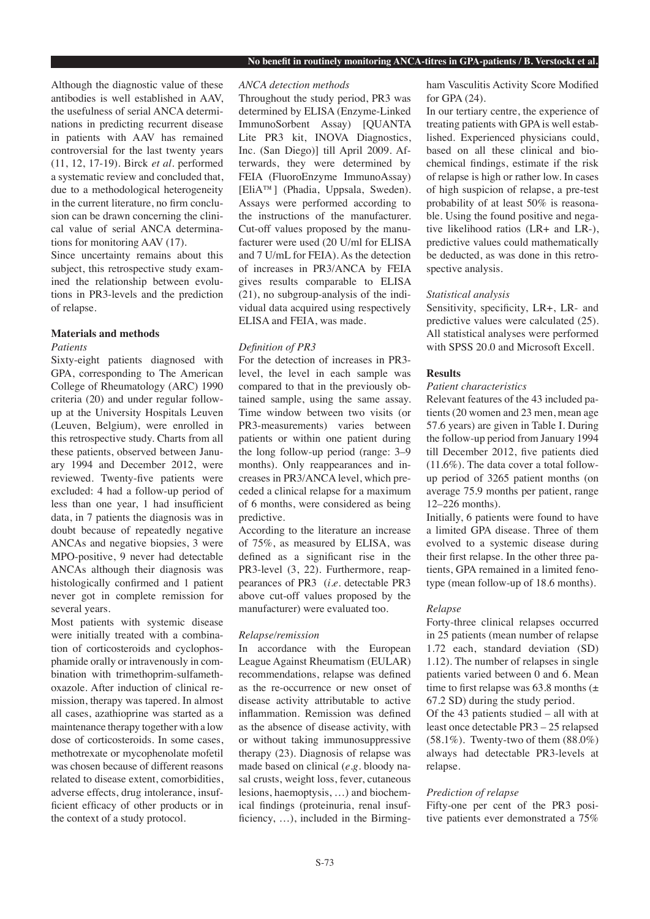#### **No benefit in routinely monitoring ANCA-titres in GPA-patients / B. Verstockt et al.**

Although the diagnostic value of these antibodies is well established in AAV, the usefulness of serial ANCA determinations in predicting recurrent disease in patients with AAV has remained controversial for the last twenty years (11, 12, 17-19). Birck *et al.* performed a systematic review and concluded that, due to a methodological heterogeneity in the current literature, no firm conclusion can be drawn concerning the clinical value of serial ANCA determinations for monitoring AAV (17).

Since uncertainty remains about this subject, this retrospective study examined the relationship between evolutions in PR3-levels and the prediction of relapse.

# **Materials and methods**

## *Patients*

Sixty-eight patients diagnosed with GPA, corresponding to The American College of Rheumatology (ARC) 1990 criteria (20) and under regular followup at the University Hospitals Leuven (Leuven, Belgium), were enrolled in this retrospective study. Charts from all these patients, observed between January 1994 and December 2012, were reviewed. Twenty-five patients were excluded: 4 had a follow-up period of less than one year, 1 had insufficient data, in 7 patients the diagnosis was in doubt because of repeatedly negative ANCAs and negative biopsies, 3 were MPO-positive, 9 never had detectable ANCAs although their diagnosis was histologically confirmed and 1 patient never got in complete remission for several years.

Most patients with systemic disease were initially treated with a combination of corticosteroids and cyclophosphamide orally or intravenously in combination with trimethoprim-sulfamethoxazole. After induction of clinical remission, therapy was tapered. In almost all cases, azathioprine was started as a maintenance therapy together with a low dose of corticosteroids. In some cases, methotrexate or mycophenolate mofetil was chosen because of different reasons related to disease extent, comorbidities, adverse effects, drug intolerance, insufficient efficacy of other products or in the context of a study protocol.

## *ANCA detection methods*

Throughout the study period, PR3 was determined by ELISA (Enzyme-Linked ImmunoSorbent Assay) [QUANTA Lite PR3 kit, INOVA Diagnostics, Inc. (San Diego)] till April 2009. Afterwards, they were determined by FEIA (FluoroEnzyme ImmunoAssay) [EliA™] (Phadia, Uppsala, Sweden). Assays were performed according to the instructions of the manufacturer. Cut-off values proposed by the manufacturer were used (20 U/ml for ELISA and 7 U/mL for FEIA). As the detection of increases in PR3/ANCA by FEIA gives results comparable to ELISA (21), no subgroup-analysis of the individual data acquired using respectively ELISA and FEIA, was made.

## *Definition of PR3*

For the detection of increases in PR3 level, the level in each sample was compared to that in the previously obtained sample, using the same assay. Time window between two visits (or PR3-measurements) varies between patients or within one patient during the long follow-up period (range: 3–9 months). Only reappearances and increases in PR3/ANCA level, which preceded a clinical relapse for a maximum of 6 months, were considered as being predictive.

According to the literature an increase of 75%, as measured by ELISA, was defined as a significant rise in the PR3-level (3, 22). Furthermore, reappearances of PR3 (*i.e.* detectable PR3 above cut-off values proposed by the manufacturer) were evaluated too.

#### *Relapse/remission*

In accordance with the European League Against Rheumatism (EULAR) recommendations, relapse was defined as the re-occurrence or new onset of disease activity attributable to active inflammation. Remission was defined as the absence of disease activity, with or without taking immunosuppressive therapy (23). Diagnosis of relapse was made based on clinical (*e.g.* bloody nasal crusts, weight loss, fever, cutaneous lesions, haemoptysis, …) and biochemical findings (proteinuria, renal insufficiency, …), included in the Birmingham Vasculitis Activity Score Modified for GPA (24).

In our tertiary centre, the experience of treating patients with GPA is well established. Experienced physicians could, based on all these clinical and biochemical findings, estimate if the risk of relapse is high or rather low. In cases of high suspicion of relapse, a pre-test probability of at least 50% is reasonable. Using the found positive and negative likelihood ratios (LR+ and LR-), predictive values could mathematically be deducted, as was done in this retrospective analysis.

#### *Statistical analysis*

Sensitivity, specificity, LR+, LR- and predictive values were calculated (25). All statistical analyses were performed with SPSS 20.0 and Microsoft Excell.

#### **Results**

## *Patient characteristics*

Relevant features of the 43 included patients (20 women and 23 men, mean age 57.6 years) are given in Table I. During the follow-up period from January 1994 till December 2012, five patients died (11.6%). The data cover a total followup period of 3265 patient months (on average 75.9 months per patient, range 12–226 months).

Initially, 6 patients were found to have a limited GPA disease. Three of them evolved to a systemic disease during their first relapse. In the other three patients, GPA remained in a limited fenotype (mean follow-up of 18.6 months).

### *Relapse*

Forty-three clinical relapses occurred in 25 patients (mean number of relapse 1.72 each, standard deviation (SD) 1.12). The number of relapses in single patients varied between 0 and 6. Mean time to first relapse was 63.8 months  $(\pm)$ 67.2 SD) during the study period.

Of the 43 patients studied – all with at least once detectable PR3 – 25 relapsed (58.1%). Twenty-two of them (88.0%) always had detectable PR3-levels at relapse.

### *Prediction of relapse*

Fifty-one per cent of the PR3 positive patients ever demonstrated a 75%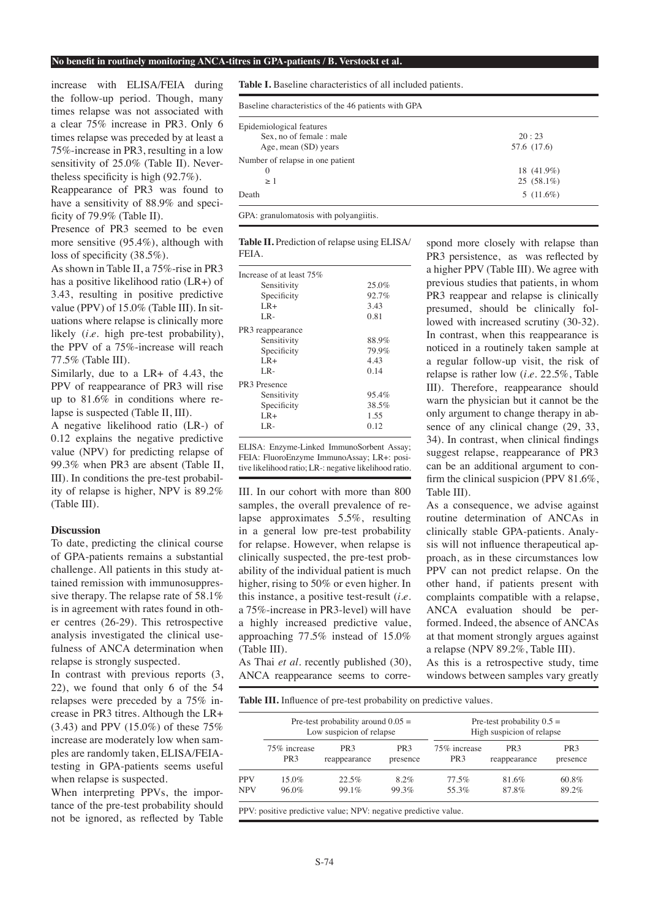#### **No benefit in routinely monitoring ANCA-titres in GPA-patients / B. Verstockt et al.**

increase with ELISA/FEIA during the follow-up period. Though, many times relapse was not associated with a clear 75% increase in PR3. Only 6 times relapse was preceded by at least a 75%-increase in PR3, resulting in a low sensitivity of 25.0% (Table II). Nevertheless specificity is high (92.7%).

Reappearance of PR3 was found to have a sensitivity of 88.9% and specificity of 79.9% (Table II).

Presence of PR3 seemed to be even more sensitive (95.4%), although with loss of specificity (38.5%).

As shown in Table II, a 75%-rise in PR3 has a positive likelihood ratio (LR+) of 3.43, resulting in positive predictive value (PPV) of 15.0% (Table III). In situations where relapse is clinically more likely (*i.e.* high pre-test probability), the PPV of a 75%-increase will reach 77.5% (Table III).

Similarly, due to a LR+ of 4.43, the PPV of reappearance of PR3 will rise up to 81.6% in conditions where relapse is suspected (Table II, III).

A negative likelihood ratio (LR-) of 0.12 explains the negative predictive value (NPV) for predicting relapse of 99.3% when PR3 are absent (Table II, III). In conditions the pre-test probability of relapse is higher, NPV is 89.2% (Table III).

## **Discussion**

To date, predicting the clinical course of GPA-patients remains a substantial challenge. All patients in this study attained remission with immunosuppressive therapy. The relapse rate of 58.1% is in agreement with rates found in other centres (26-29). This retrospective analysis investigated the clinical usefulness of ANCA determination when relapse is strongly suspected.

In contrast with previous reports (3, 22), we found that only 6 of the 54 relapses were preceded by a 75% increase in PR3 titres. Although the LR+ (3.43) and PPV (15.0%) of these 75% increase are moderately low when samples are randomly taken, ELISA/FEIAtesting in GPA-patients seems useful when relapse is suspected.

When interpreting PPVs, the importance of the pre-test probability should not be ignored, as reflected by Table

**Table I.** Baseline characteristics of all included patients.

| Epidemiological features         |              |
|----------------------------------|--------------|
| Sex, no of female : male         | 20:23        |
| Age, mean (SD) years             | 57.6 (17.6)  |
| Number of relapse in one patient |              |
| $\theta$                         | 18 (41.9%)   |
| >1                               | $25(58.1\%)$ |
| Death                            | $5(11.6\%)$  |

**Table II.** Prediction of relapse using ELISA/ FEIA.

| Increase of at least 75%     |          |  |  |
|------------------------------|----------|--|--|
| Sensitivity                  | 25.0%    |  |  |
| Specificity                  | $92.7\%$ |  |  |
| $LR+$                        | 3.43     |  |  |
| LR-                          | 0.81     |  |  |
| PR <sub>3</sub> reappearance |          |  |  |
| Sensitivity                  | 88.9%    |  |  |
| Specificity                  | 79.9%    |  |  |
| $LR+$                        | 4.43     |  |  |
| LR-                          | 0.14     |  |  |
| PR <sub>3</sub> Presence     |          |  |  |
| Sensitivity                  | 95.4%    |  |  |
| Specificity                  | 38.5%    |  |  |
| $LR+$                        | 1.55     |  |  |
| LR-                          | 0.12     |  |  |
|                              |          |  |  |

ELISA: Enzyme-Linked ImmunoSorbent Assay; FEIA: FluoroEnzyme ImmunoAssay; LR+: positive likelihood ratio; LR-: negative likelihood ratio.

III. In our cohort with more than 800 samples, the overall prevalence of relapse approximates 5.5%, resulting in a general low pre-test probability for relapse. However, when relapse is clinically suspected, the pre-test probability of the individual patient is much higher, rising to 50% or even higher. In this instance, a positive test-result (*i.e.* a 75%-increase in PR3-level) will have a highly increased predictive value, approaching 77.5% instead of 15.0% (Table III).

As Thai *et al.* recently published (30), ANCA reappearance seems to corre-

spond more closely with relapse than PR3 persistence, as was reflected by a higher PPV (Table III). We agree with previous studies that patients, in whom PR3 reappear and relapse is clinically presumed, should be clinically followed with increased scrutiny (30-32). In contrast, when this reappearance is noticed in a routinely taken sample at a regular follow-up visit, the risk of relapse is rather low (*i.e.* 22.5%, Table III). Therefore, reappearance should warn the physician but it cannot be the only argument to change therapy in absence of any clinical change (29, 33, 34). In contrast, when clinical findings suggest relapse, reappearance of PR3 can be an additional argument to confirm the clinical suspicion (PPV 81.6%, Table III).

As a consequence, we advise against routine determination of ANCAs in clinically stable GPA-patients. Analysis will not influence therapeutical approach, as in these circumstances low PPV can not predict relapse. On the other hand, if patients present with complaints compatible with a relapse, ANCA evaluation should be performed. Indeed, the absence of ANCAs at that moment strongly argues against a relapse (NPV 89.2%, Table III).

As this is a retrospective study, time windows between samples vary greatly

**Table III.** Influence of pre-test probability on predictive values.

|            | Pre-test probability around $0.05 =$<br>Low suspicion of relapse |                                 |                             | Pre-test probability $0.5 =$<br>High suspicion of relapse |                                 |                             |
|------------|------------------------------------------------------------------|---------------------------------|-----------------------------|-----------------------------------------------------------|---------------------------------|-----------------------------|
|            | 75% increase<br>PR <sub>3</sub>                                  | PR <sub>3</sub><br>reappearance | PR <sub>3</sub><br>presence | 75% increase<br>PR <sub>3</sub>                           | PR <sub>3</sub><br>reappearance | PR <sub>3</sub><br>presence |
| <b>PPV</b> | $15.0\%$                                                         | 22.5%                           | $8.2\%$                     | $77.5\%$                                                  | 81.6%                           | $60.8\%$                    |
| <b>NPV</b> | 96.0%                                                            | $99.1\%$                        | 99.3%                       | 55.3%                                                     | 87.8%                           | $89.2\%$                    |

PPV: positive predictive value; NPV: negative predictive value.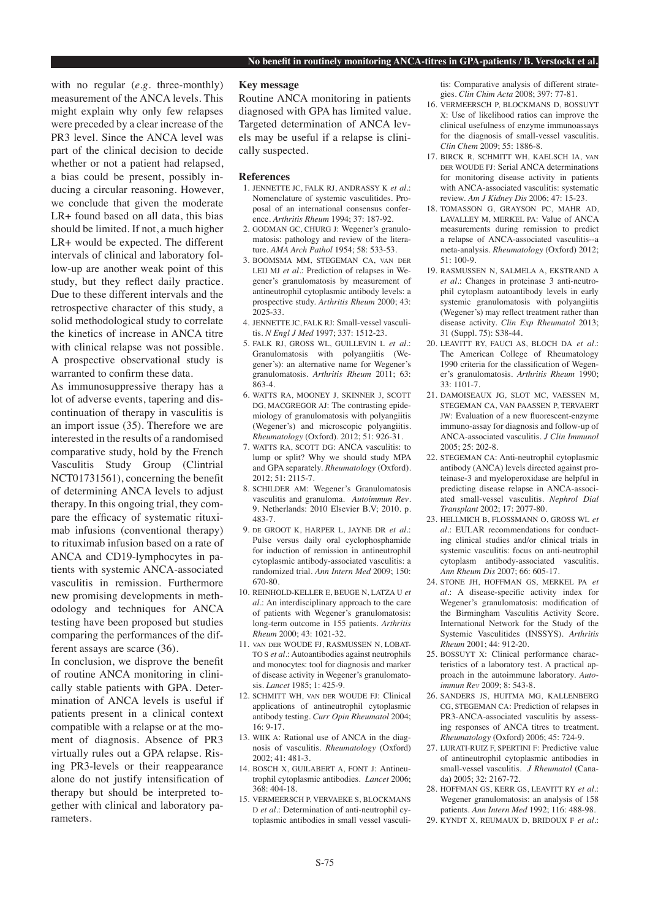with no regular (*e.g.* three-monthly) measurement of the ANCA levels. This might explain why only few relapses were preceded by a clear increase of the PR3 level. Since the ANCA level was part of the clinical decision to decide whether or not a patient had relapsed, a bias could be present, possibly inducing a circular reasoning. However, we conclude that given the moderate LR+ found based on all data, this bias should be limited. If not, a much higher LR+ would be expected. The different intervals of clinical and laboratory follow-up are another weak point of this study, but they reflect daily practice. Due to these different intervals and the retrospective character of this study, a solid methodological study to correlate the kinetics of increase in ANCA titre with clinical relapse was not possible. A prospective observational study is warranted to confirm these data.

As immunosuppressive therapy has a lot of adverse events, tapering and discontinuation of therapy in vasculitis is an import issue (35). Therefore we are interested in the results of a randomised comparative study, hold by the French Vasculitis Study Group (Clintrial NCT01731561), concerning the benefit of determining ANCA levels to adjust therapy. In this ongoing trial, they compare the efficacy of systematic rituximab infusions (conventional therapy) to rituximab infusion based on a rate of ANCA and CD19-lymphocytes in patients with systemic ANCA-associated vasculitis in remission. Furthermore new promising developments in methodology and techniques for ANCA testing have been proposed but studies comparing the performances of the different assays are scarce (36).

In conclusion, we disprove the benefit of routine ANCA monitoring in clinically stable patients with GPA. Determination of ANCA levels is useful if patients present in a clinical context compatible with a relapse or at the moment of diagnosis. Absence of PR3 virtually rules out a GPA relapse. Rising PR3-levels or their reappearance alone do not justify intensification of therapy but should be interpreted together with clinical and laboratory parameters.

## **Key message**

Routine ANCA monitoring in patients diagnosed with GPA has limited value. Targeted determination of ANCA levels may be useful if a relapse is clinically suspected.

#### **References**

- 1. JENNETTE JC, FALK RJ, ANDRASSY K *et al.*: Nomenclature of systemic vasculitides. Proposal of an international consensus conference. *Arthritis Rheum* 1994; 37: 187-92.
- 2. GODMAN GC, CHURG J: Wegener's granulomatosis: pathology and review of the literature. *AMA Arch Pathol* 1954; 58: 533-53.
- 3. BOOMSMA MM, STEGEMAN CA, van der LEIJ MJ *et al.*: Prediction of relapses in Wegener's granulomatosis by measurement of antineutrophil cytoplasmic antibody levels: a prospective study. *Arthritis Rheum* 2000; 43: 2025-33.
- 4. JENNETTE JC, FALK RJ: Small-vessel vasculitis. *N Engl J Med* 1997; 337: 1512-23.
- 5. FALK RJ, GROSS WL, GUILLEVIN L *et al.*: Granulomatosis with polyangiitis (Wegener's): an alternative name for Wegener's granulomatosis. *Arthritis Rheum* 2011; 63: 863-4.
- 6. WATTS RA, MOONEY J, SKINNER J, SCOTT DG, MACGREGOR AJ: The contrasting epidemiology of granulomatosis with polyangiitis (Wegener's) and microscopic polyangiitis. *Rheumatology* (Oxford). 2012; 51: 926-31.
- 7. WATTS RA, SCOTT DG: ANCA vasculitis: to lump or split? Why we should study MPA and GPA separately. *Rheumatology* (Oxford). 2012; 51: 2115-7.
- 8. SCHILDER AM: Wegener's Granulomatosis vasculitis and granuloma. *Autoimmun Rev*. 9. Netherlands: 2010 Elsevier B.V; 2010. p. 483-7.
- 9. de GROOT K, HARPER L, JAYNE DR *et al.*: Pulse versus daily oral cyclophosphamide for induction of remission in antineutrophil cytoplasmic antibody-associated vasculitis: a randomized trial. *Ann Intern Med* 2009; 150: 670-80.
- 10. REINHOLD-KELLER E, BEUGE N, LATZA U *et al.*: An interdisciplinary approach to the care of patients with Wegener's granulomatosis: long-term outcome in 155 patients. *Arthritis Rheum* 2000; 43: 1021-32.
- 11. van der WOUDE FJ, RASMUSSEN N, LOBAT-TO S *et al.*: Autoantibodies against neutrophils and monocytes: tool for diagnosis and marker of disease activity in Wegener's granulomatosis. *Lancet* 1985; 1: 425-9.
- 12. SCHMITT WH, van der WOUDE FJ: Clinical applications of antineutrophil cytoplasmic antibody testing. *Curr Opin Rheumatol* 2004;  $16.9 - 17$
- 13. WIIK A: Rational use of ANCA in the diagnosis of vasculitis. *Rheumatology* (Oxford) 2002; 41: 481-3.
- 14. BOSCH X, GUILABERT A, FONT J: Antineutrophil cytoplasmic antibodies. *Lancet* 2006; 368: 404-18.
- 15. VERMEERSCH P, VERVAEKE S, BLOCKMANS D *et al.*: Determination of anti-neutrophil cytoplasmic antibodies in small vessel vasculi-

tis: Comparative analysis of different strategies. *Clin Chim Acta* 2008; 397: 77-81.

- 16. VERMEERSCH P, BLOCKMANS D, BOSSUYT X: Use of likelihood ratios can improve the clinical usefulness of enzyme immunoassays for the diagnosis of small-vessel vasculitis. *Clin Chem* 2009; 55: 1886-8.
- 17. BIRCK R, SCHMITT WH, KAELSCH IA, van DER WOUDE FJ: Serial ANCA determinations for monitoring disease activity in patients with ANCA-associated vasculitis: systematic review. *Am J Kidney Dis* 2006; 47: 15-23.
- 18. TOMASSON G, GRAYSON PC, MAHR AD, LAVALLEY M, MERKEL PA: Value of ANCA measurements during remission to predict a relapse of ANCA-associated vasculitis--a meta-analysis. *Rheumatology* (Oxford) 2012; 51: 100-9.
- 19. RASMUSSEN N, SALMELA A, EKSTRAND A *et al.*: Changes in proteinase 3 anti-neutrophil cytoplasm autoantibody levels in early systemic granulomatosis with polyangiitis (Wegener's) may reflect treatment rather than disease activity. *Clin Exp Rheumatol* 2013; 31 (Suppl. 75): S38-44.
- 20. LEAVITT RY, FAUCI AS, BLOCH DA *et al.*: The American College of Rheumatology 1990 criteria for the classification of Wegener's granulomatosis. *Arthritis Rheum* 1990; 33: 1101-7.
- 21. DAMOISEAUX JG, SLOT MC, VAESSEN M, STEGEMAN CA, VAN PAASSEN P, TERVAERT JW: Evaluation of a new fluorescent-enzyme immuno-assay for diagnosis and follow-up of ANCA-associated vasculitis. *J Clin Immunol* 2005; 25: 202-8.
- 22. STEGEMAN CA: Anti-neutrophil cytoplasmic antibody (ANCA) levels directed against proteinase-3 and myeloperoxidase are helpful in predicting disease relapse in ANCA-associated small-vessel vasculitis. *Nephrol Dial Transplant* 2002; 17: 2077-80.
- 23. HELLMICH B, FLOSSMANN O, GROSS WL *et al.*: EULAR recommendations for conducting clinical studies and/or clinical trials in systemic vasculitis: focus on anti-neutrophil cytoplasm antibody-associated vasculitis. *Ann Rheum Dis* 2007; 66: 605-17.
- 24. STONE JH, HOFFMAN GS, MERKEL PA *et al.*: A disease-specific activity index for Wegener's granulomatosis: modification of the Birmingham Vasculitis Activity Score. International Network for the Study of the Systemic Vasculitides (INSSYS). *Arthritis Rheum* 2001; 44: 912-20.
- 25. BOSSUYT X: Clinical performance characteristics of a laboratory test. A practical approach in the autoimmune laboratory. *Autoimmun Rev* 2009; 8: 543-8.
- 26. SANDERS JS, HUITMA MG, KALLENBERG CG, STEGEMAN CA: Prediction of relapses in PR3-ANCA-associated vasculitis by assessing responses of ANCA titres to treatment. *Rheumatology* (Oxford) 2006; 45: 724-9.
- 27. LURATI-RUIZ F, SPERTINI F: Predictive value of antineutrophil cytoplasmic antibodies in small-vessel vasculitis. *J Rheumatol* (Canada) 2005; 32: 2167-72.
- 28. HOFFMAN GS, KERR GS, LEAVITT RY *et al.*: Wegener granulomatosis: an analysis of 158 patients. *Ann Intern Med* 1992; 116: 488-98.
- 29. KYNDT X, REUMAUX D, BRIDOUX F *et al.*: